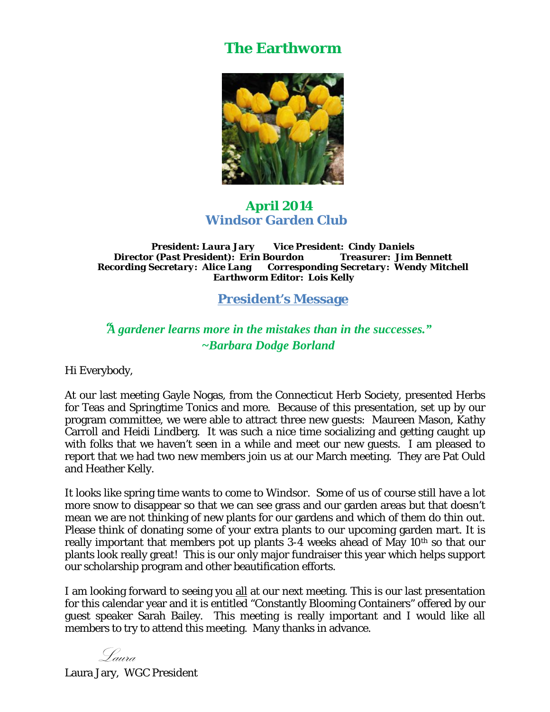## **The Earthworm**



## **April 2014 Windsor Garden Club**

*President: Laura Jary Vice President: Cindy Daniels Director (Past President): Erin Bourdon Recording Secretary: Alice Lang Corresponding Secretary: Wendy Mitchell Earthworm Editor: Lois Kelly* 

**President's Message** 

## *"A gardener learns more in the mistakes than in the successes." ~Barbara Dodge Borland*

Hi Everybody,

At our last meeting Gayle Nogas, from the Connecticut Herb Society, presented Herbs for Teas and Springtime Tonics and more. Because of this presentation, set up by our program committee, we were able to attract three new guests: Maureen Mason, Kathy Carroll and Heidi Lindberg. It was such a nice time socializing and getting caught up with folks that we haven't seen in a while and meet our new guests. I am pleased to report that we had two new members join us at our March meeting. They are Pat Ould and Heather Kelly.

It looks like spring time wants to come to Windsor. Some of us of course still have a lot more snow to disappear so that we can see grass and our garden areas but that doesn't mean we are not thinking of new plants for our gardens and which of them do thin out. Please think of donating some of your extra plants to our upcoming garden mart. It is really important that members pot up plants 3-4 weeks ahead of May 10<sup>th</sup> so that our plants look really great! This is our only major fundraiser this year which helps support our scholarship program and other beautification efforts.

I am looking forward to seeing you all at our next meeting. This is our last presentation for this calendar year and it is entitled "Constantly Blooming Containers" offered by our guest speaker Sarah Bailey. This meeting is really important and I would like all members to try to attend this meeting. Many thanks in advance.

Laura

Laura Jary, WGC President